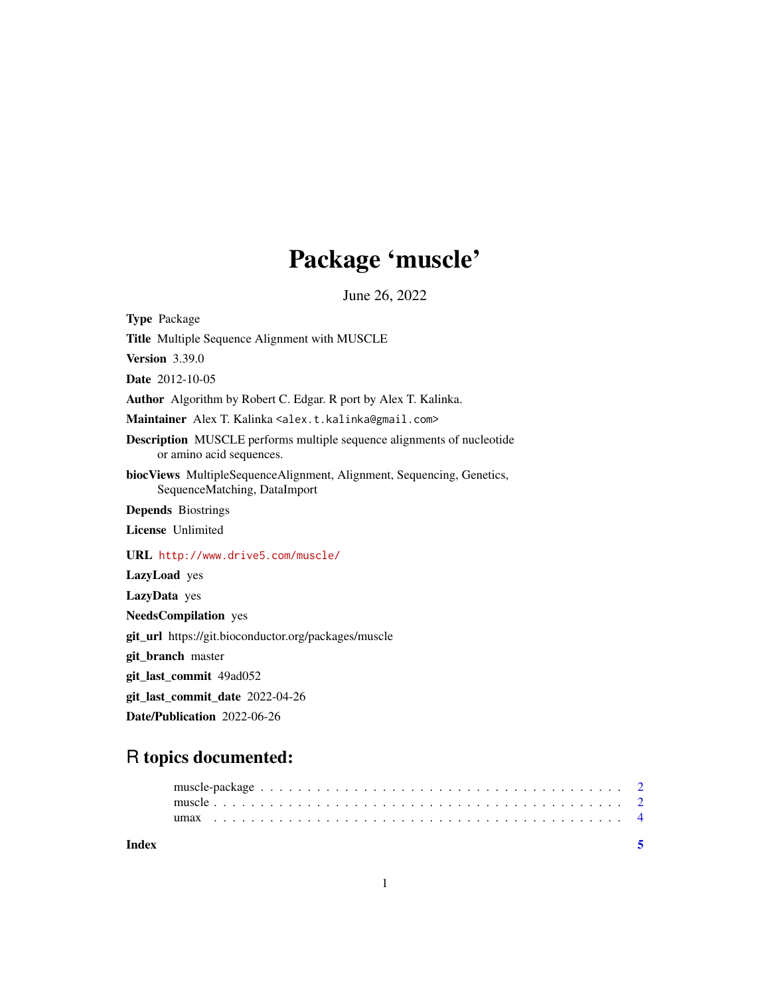## Package 'muscle'

June 26, 2022

<span id="page-0-0"></span>Type Package Title Multiple Sequence Alignment with MUSCLE Version 3.39.0 Date 2012-10-05 Author Algorithm by Robert C. Edgar. R port by Alex T. Kalinka. Maintainer Alex T. Kalinka <alex.t.kalinka@gmail.com> Description MUSCLE performs multiple sequence alignments of nucleotide or amino acid sequences. biocViews MultipleSequenceAlignment, Alignment, Sequencing, Genetics, SequenceMatching, DataImport Depends Biostrings License Unlimited URL <http://www.drive5.com/muscle/> LazyLoad yes LazyData yes NeedsCompilation yes git\_url https://git.bioconductor.org/packages/muscle git\_branch master git\_last\_commit 49ad052 git\_last\_commit\_date 2022-04-26 Date/Publication 2022-06-26

### R topics documented:

| Index |  |  |  |  |  |  |  |  |  |  |  |  |  |  |  |  |  |  |  |  |  |  |
|-------|--|--|--|--|--|--|--|--|--|--|--|--|--|--|--|--|--|--|--|--|--|--|
|       |  |  |  |  |  |  |  |  |  |  |  |  |  |  |  |  |  |  |  |  |  |  |
|       |  |  |  |  |  |  |  |  |  |  |  |  |  |  |  |  |  |  |  |  |  |  |

1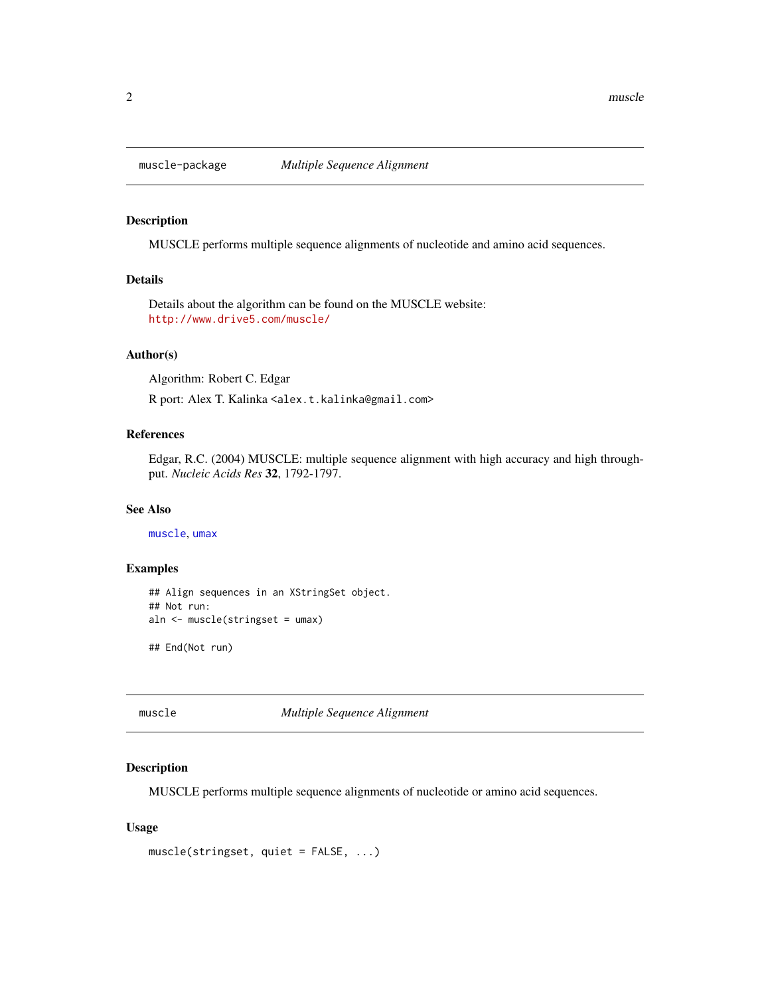<span id="page-1-0"></span>

#### Description

MUSCLE performs multiple sequence alignments of nucleotide and amino acid sequences.

#### Details

Details about the algorithm can be found on the MUSCLE website: <http://www.drive5.com/muscle/>

#### Author(s)

Algorithm: Robert C. Edgar

R port: Alex T. Kalinka <alex.t.kalinka@gmail.com>

#### References

Edgar, R.C. (2004) MUSCLE: multiple sequence alignment with high accuracy and high throughput. *Nucleic Acids Res* 32, 1792-1797.

#### See Also

[muscle](#page-1-1), [umax](#page-3-1)

#### Examples

```
## Align sequences in an XStringSet object.
## Not run:
aln <- muscle(stringset = umax)
```
## End(Not run)

<span id="page-1-1"></span>muscle *Multiple Sequence Alignment*

#### Description

MUSCLE performs multiple sequence alignments of nucleotide or amino acid sequences.

#### Usage

muscle(stringset, quiet = FALSE, ...)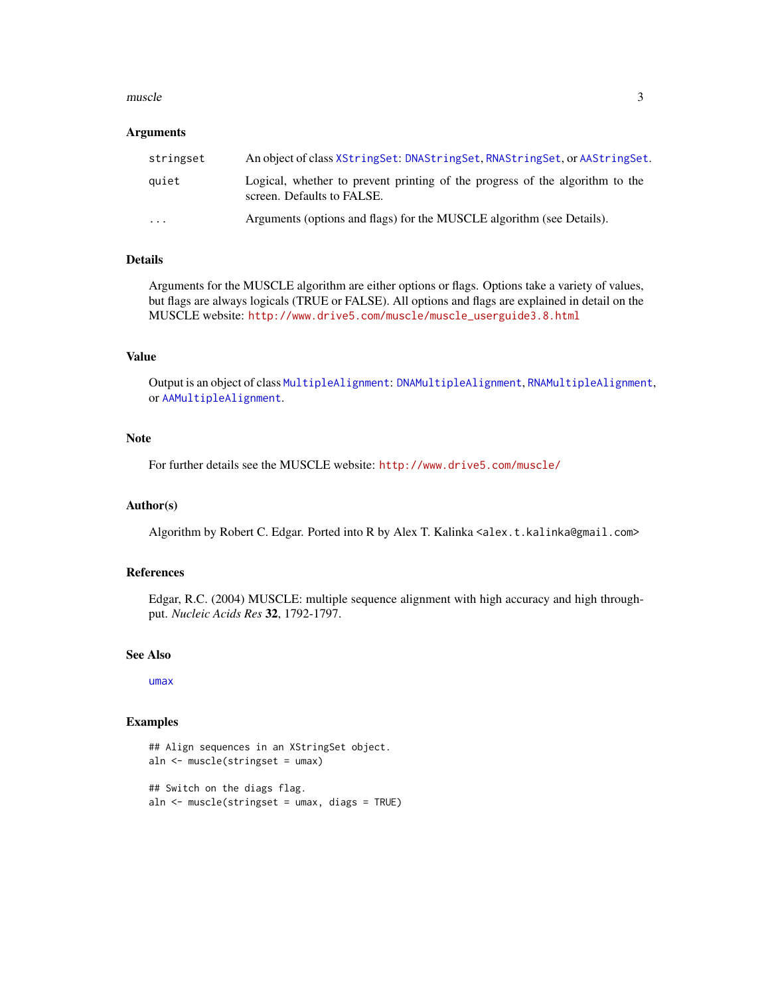#### <span id="page-2-0"></span>muscle 3

#### **Arguments**

| stringset | An object of class XStringSet: DNAStringSet, RNAStringSet, or AAStringSet.                                 |
|-----------|------------------------------------------------------------------------------------------------------------|
| quiet     | Logical, whether to prevent printing of the progress of the algorithm to the<br>screen. Defaults to FALSE. |
| $\cdots$  | Arguments (options and flags) for the MUSCLE algorithm (see Details).                                      |

#### Details

Arguments for the MUSCLE algorithm are either options or flags. Options take a variety of values, but flags are always logicals (TRUE or FALSE). All options and flags are explained in detail on the MUSCLE website: [http://www.drive5.com/muscle/muscle\\_userguide3.8.html](http://www.drive5.com/muscle/muscle_userguide3.8.html)

#### Value

Output is an object of class [MultipleAlignment](#page-0-0): [DNAMultipleAlignment](#page-0-0), [RNAMultipleAlignment](#page-0-0), or [AAMultipleAlignment](#page-0-0).

#### Note

For further details see the MUSCLE website: <http://www.drive5.com/muscle/>

#### Author(s)

Algorithm by Robert C. Edgar. Ported into R by Alex T. Kalinka <alex.t.kalinka@gmail.com>

#### References

Edgar, R.C. (2004) MUSCLE: multiple sequence alignment with high accuracy and high throughput. *Nucleic Acids Res* 32, 1792-1797.

#### See Also

[umax](#page-3-1)

#### Examples

```
## Align sequences in an XStringSet object.
aln <- muscle(stringset = umax)
```
## Switch on the diags flag. aln <- muscle(stringset = umax, diags = TRUE)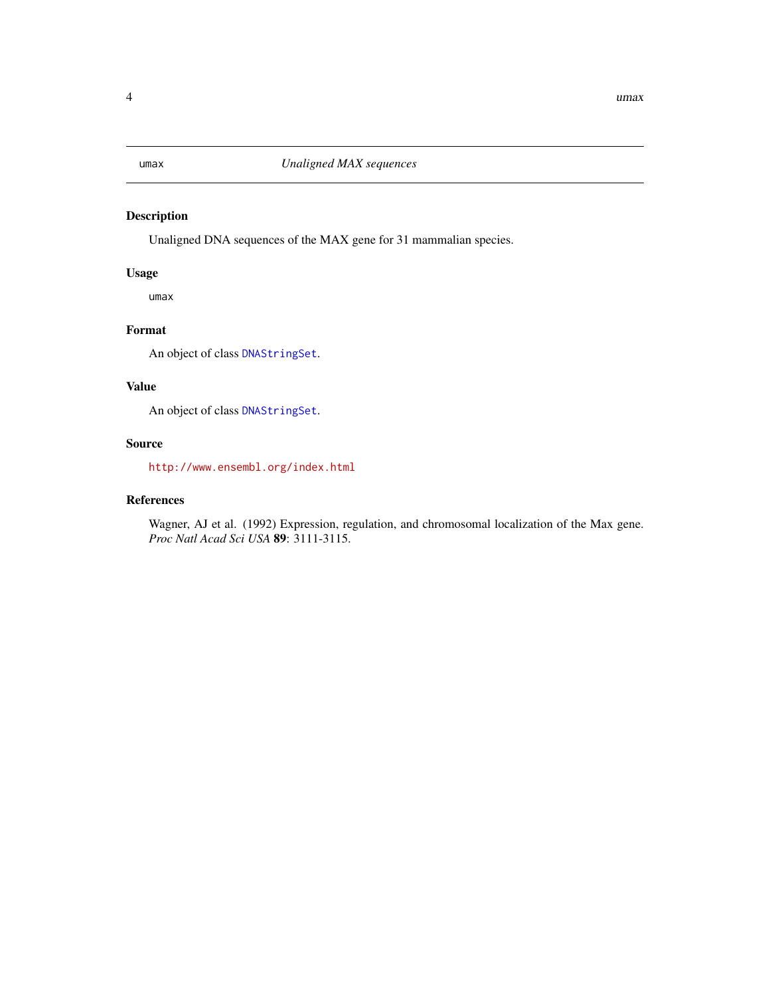<span id="page-3-1"></span><span id="page-3-0"></span>

#### Description

Unaligned DNA sequences of the MAX gene for 31 mammalian species.

#### Usage

umax

#### Format

An object of class [DNAStringSet](#page-0-0).

#### Value

An object of class [DNAStringSet](#page-0-0).

#### Source

<http://www.ensembl.org/index.html>

#### References

Wagner, AJ et al. (1992) Expression, regulation, and chromosomal localization of the Max gene. *Proc Natl Acad Sci USA* 89: 3111-3115.